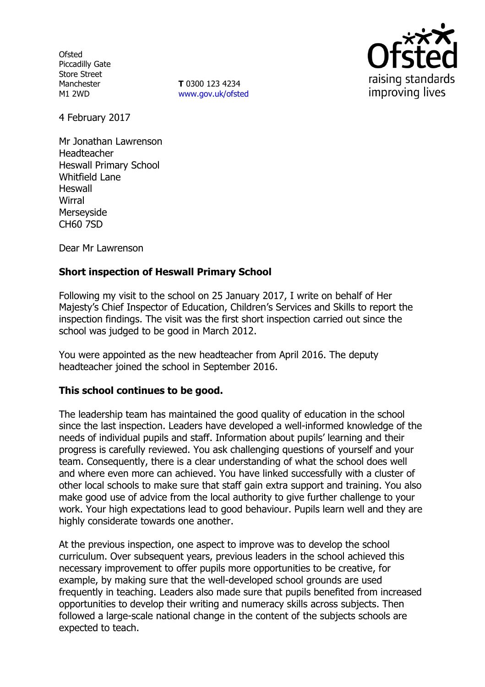**Ofsted** Piccadilly Gate Store Street Manchester M1 2WD

**T** 0300 123 4234 www.gov.uk/ofsted



4 February 2017

Mr Jonathan Lawrenson Headteacher Heswall Primary School Whitfield Lane Heswall **Wirral** Merseyside CH60 7SD

Dear Mr Lawrenson

# **Short inspection of Heswall Primary School**

Following my visit to the school on 25 January 2017, I write on behalf of Her Majesty's Chief Inspector of Education, Children's Services and Skills to report the inspection findings. The visit was the first short inspection carried out since the school was judged to be good in March 2012.

You were appointed as the new headteacher from April 2016. The deputy headteacher joined the school in September 2016.

### **This school continues to be good.**

The leadership team has maintained the good quality of education in the school since the last inspection. Leaders have developed a well-informed knowledge of the needs of individual pupils and staff. Information about pupils' learning and their progress is carefully reviewed. You ask challenging questions of yourself and your team. Consequently, there is a clear understanding of what the school does well and where even more can achieved. You have linked successfully with a cluster of other local schools to make sure that staff gain extra support and training. You also make good use of advice from the local authority to give further challenge to your work. Your high expectations lead to good behaviour. Pupils learn well and they are highly considerate towards one another.

At the previous inspection, one aspect to improve was to develop the school curriculum. Over subsequent years, previous leaders in the school achieved this necessary improvement to offer pupils more opportunities to be creative, for example, by making sure that the well-developed school grounds are used frequently in teaching. Leaders also made sure that pupils benefited from increased opportunities to develop their writing and numeracy skills across subjects. Then followed a large-scale national change in the content of the subjects schools are expected to teach.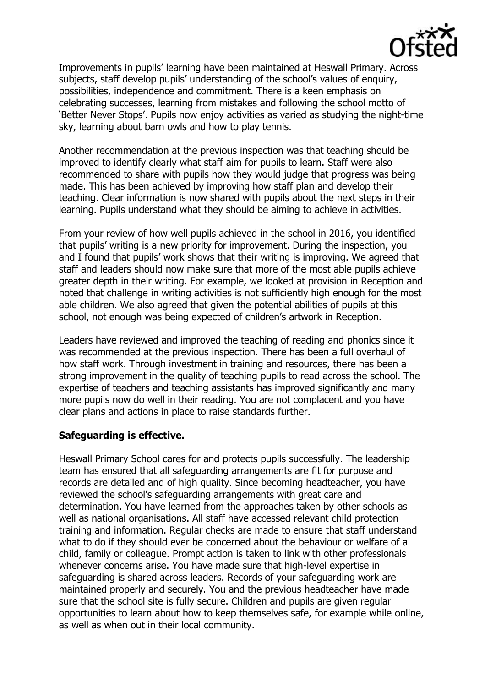

Improvements in pupils' learning have been maintained at Heswall Primary. Across subjects, staff develop pupils' understanding of the school's values of enquiry, possibilities, independence and commitment. There is a keen emphasis on celebrating successes, learning from mistakes and following the school motto of 'Better Never Stops'. Pupils now enjoy activities as varied as studying the night-time sky, learning about barn owls and how to play tennis.

Another recommendation at the previous inspection was that teaching should be improved to identify clearly what staff aim for pupils to learn. Staff were also recommended to share with pupils how they would judge that progress was being made. This has been achieved by improving how staff plan and develop their teaching. Clear information is now shared with pupils about the next steps in their learning. Pupils understand what they should be aiming to achieve in activities.

From your review of how well pupils achieved in the school in 2016, you identified that pupils' writing is a new priority for improvement. During the inspection, you and I found that pupils' work shows that their writing is improving. We agreed that staff and leaders should now make sure that more of the most able pupils achieve greater depth in their writing. For example, we looked at provision in Reception and noted that challenge in writing activities is not sufficiently high enough for the most able children. We also agreed that given the potential abilities of pupils at this school, not enough was being expected of children's artwork in Reception.

Leaders have reviewed and improved the teaching of reading and phonics since it was recommended at the previous inspection. There has been a full overhaul of how staff work. Through investment in training and resources, there has been a strong improvement in the quality of teaching pupils to read across the school. The expertise of teachers and teaching assistants has improved significantly and many more pupils now do well in their reading. You are not complacent and you have clear plans and actions in place to raise standards further.

### **Safeguarding is effective.**

Heswall Primary School cares for and protects pupils successfully. The leadership team has ensured that all safeguarding arrangements are fit for purpose and records are detailed and of high quality. Since becoming headteacher, you have reviewed the school's safeguarding arrangements with great care and determination. You have learned from the approaches taken by other schools as well as national organisations. All staff have accessed relevant child protection training and information. Regular checks are made to ensure that staff understand what to do if they should ever be concerned about the behaviour or welfare of a child, family or colleague. Prompt action is taken to link with other professionals whenever concerns arise. You have made sure that high-level expertise in safeguarding is shared across leaders. Records of your safeguarding work are maintained properly and securely. You and the previous headteacher have made sure that the school site is fully secure. Children and pupils are given regular opportunities to learn about how to keep themselves safe, for example while online, as well as when out in their local community.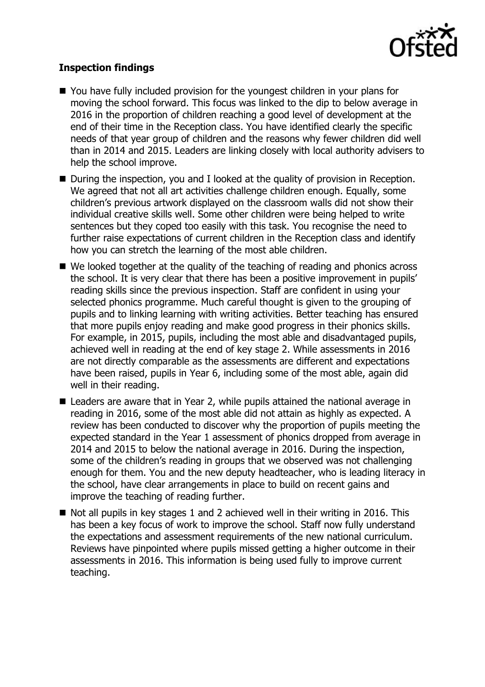

## **Inspection findings**

- You have fully included provision for the youngest children in your plans for moving the school forward. This focus was linked to the dip to below average in 2016 in the proportion of children reaching a good level of development at the end of their time in the Reception class. You have identified clearly the specific needs of that year group of children and the reasons why fewer children did well than in 2014 and 2015. Leaders are linking closely with local authority advisers to help the school improve.
- During the inspection, you and I looked at the quality of provision in Reception. We agreed that not all art activities challenge children enough. Equally, some children's previous artwork displayed on the classroom walls did not show their individual creative skills well. Some other children were being helped to write sentences but they coped too easily with this task. You recognise the need to further raise expectations of current children in the Reception class and identify how you can stretch the learning of the most able children.
- We looked together at the quality of the teaching of reading and phonics across the school. It is very clear that there has been a positive improvement in pupils' reading skills since the previous inspection. Staff are confident in using your selected phonics programme. Much careful thought is given to the grouping of pupils and to linking learning with writing activities. Better teaching has ensured that more pupils enjoy reading and make good progress in their phonics skills. For example, in 2015, pupils, including the most able and disadvantaged pupils, achieved well in reading at the end of key stage 2. While assessments in 2016 are not directly comparable as the assessments are different and expectations have been raised, pupils in Year 6, including some of the most able, again did well in their reading.
- Leaders are aware that in Year 2, while pupils attained the national average in reading in 2016, some of the most able did not attain as highly as expected. A review has been conducted to discover why the proportion of pupils meeting the expected standard in the Year 1 assessment of phonics dropped from average in 2014 and 2015 to below the national average in 2016. During the inspection, some of the children's reading in groups that we observed was not challenging enough for them. You and the new deputy headteacher, who is leading literacy in the school, have clear arrangements in place to build on recent gains and improve the teaching of reading further.
- $\blacksquare$  Not all pupils in key stages 1 and 2 achieved well in their writing in 2016. This has been a key focus of work to improve the school. Staff now fully understand the expectations and assessment requirements of the new national curriculum. Reviews have pinpointed where pupils missed getting a higher outcome in their assessments in 2016. This information is being used fully to improve current teaching.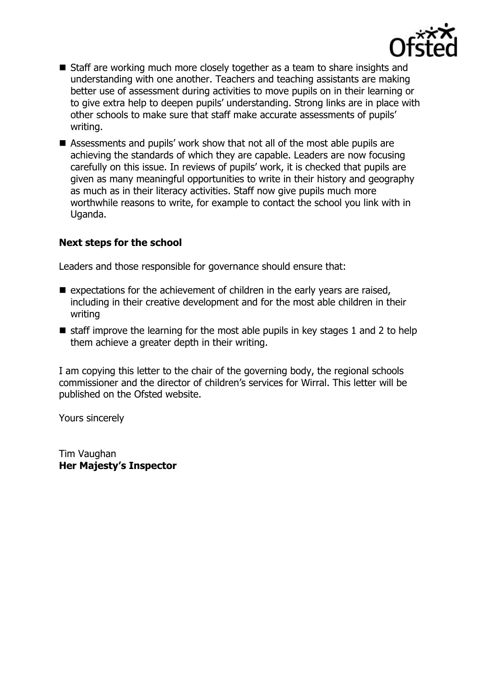

- Staff are working much more closely together as a team to share insights and understanding with one another. Teachers and teaching assistants are making better use of assessment during activities to move pupils on in their learning or to give extra help to deepen pupils' understanding. Strong links are in place with other schools to make sure that staff make accurate assessments of pupils' writing.
- Assessments and pupils' work show that not all of the most able pupils are achieving the standards of which they are capable. Leaders are now focusing carefully on this issue. In reviews of pupils' work, it is checked that pupils are given as many meaningful opportunities to write in their history and geography as much as in their literacy activities. Staff now give pupils much more worthwhile reasons to write, for example to contact the school you link with in Uganda.

### **Next steps for the school**

Leaders and those responsible for governance should ensure that:

- $\blacksquare$  expectations for the achievement of children in the early years are raised, including in their creative development and for the most able children in their writing
- $\blacksquare$  staff improve the learning for the most able pupils in key stages 1 and 2 to help them achieve a greater depth in their writing.

I am copying this letter to the chair of the governing body, the regional schools commissioner and the director of children's services for Wirral. This letter will be published on the Ofsted website.

Yours sincerely

Tim Vaughan **Her Majesty's Inspector**